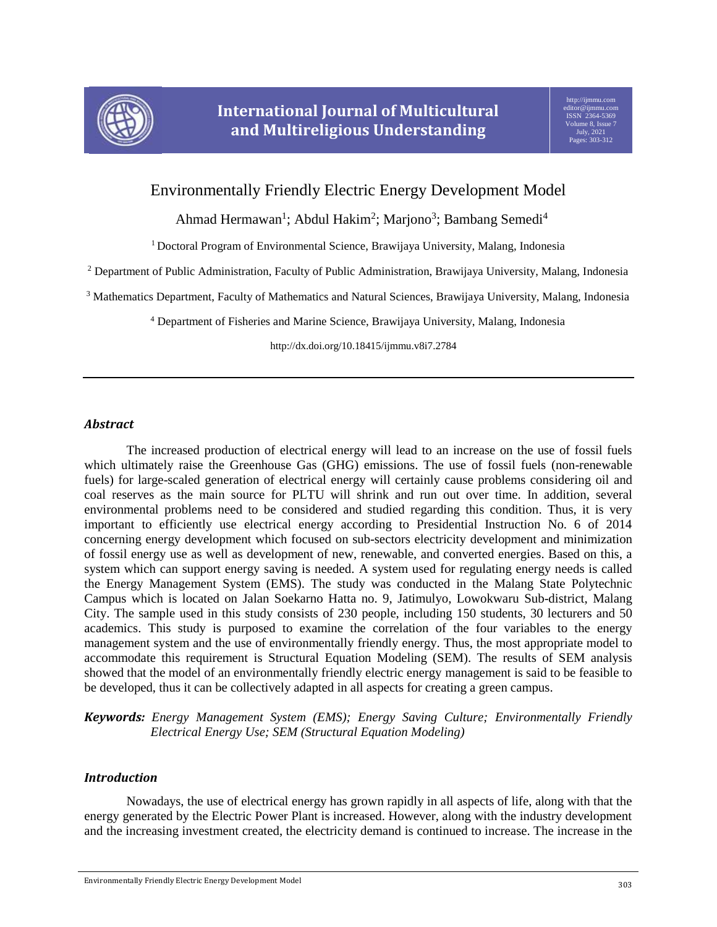

# Environmentally Friendly Electric Energy Development Model

Ahmad Hermawan<sup>1</sup>; Abdul Hakim<sup>2</sup>; Marjono<sup>3</sup>; Bambang Semedi<sup>4</sup>

<sup>1</sup> Doctoral Program of Environmental Science, Brawijaya University, Malang, Indonesia

<sup>2</sup> Department of Public Administration, Faculty of Public Administration, Brawijaya University, Malang, Indonesia

<sup>3</sup> Mathematics Department, Faculty of Mathematics and Natural Sciences, Brawijaya University, Malang, Indonesia

<sup>4</sup> Department of Fisheries and Marine Science, Brawijaya University, Malang, Indonesia

http://dx.doi.org/10.18415/ijmmu.v8i7.2784

## *Abstract*

The increased production of electrical energy will lead to an increase on the use of fossil fuels which ultimately raise the Greenhouse Gas (GHG) emissions. The use of fossil fuels (non-renewable fuels) for large-scaled generation of electrical energy will certainly cause problems considering oil and coal reserves as the main source for PLTU will shrink and run out over time. In addition, several environmental problems need to be considered and studied regarding this condition. Thus, it is very important to efficiently use electrical energy according to Presidential Instruction No. 6 of 2014 concerning energy development which focused on sub-sectors electricity development and minimization of fossil energy use as well as development of new, renewable, and converted energies. Based on this, a system which can support energy saving is needed. A system used for regulating energy needs is called the Energy Management System (EMS). The study was conducted in the Malang State Polytechnic Campus which is located on Jalan Soekarno Hatta no. 9, Jatimulyo, Lowokwaru Sub-district, Malang City. The sample used in this study consists of 230 people, including 150 students, 30 lecturers and 50 academics. This study is purposed to examine the correlation of the four variables to the energy management system and the use of environmentally friendly energy. Thus, the most appropriate model to accommodate this requirement is Structural Equation Modeling (SEM). The results of SEM analysis showed that the model of an environmentally friendly electric energy management is said to be feasible to be developed, thus it can be collectively adapted in all aspects for creating a green campus.

*Keywords: Energy Management System (EMS); Energy Saving Culture; Environmentally Friendly Electrical Energy Use; SEM (Structural Equation Modeling)*

# *Introduction*

Nowadays, the use of electrical energy has grown rapidly in all aspects of life, along with that the energy generated by the Electric Power Plant is increased. However, along with the industry development and the increasing investment created, the electricity demand is continued to increase. The increase in the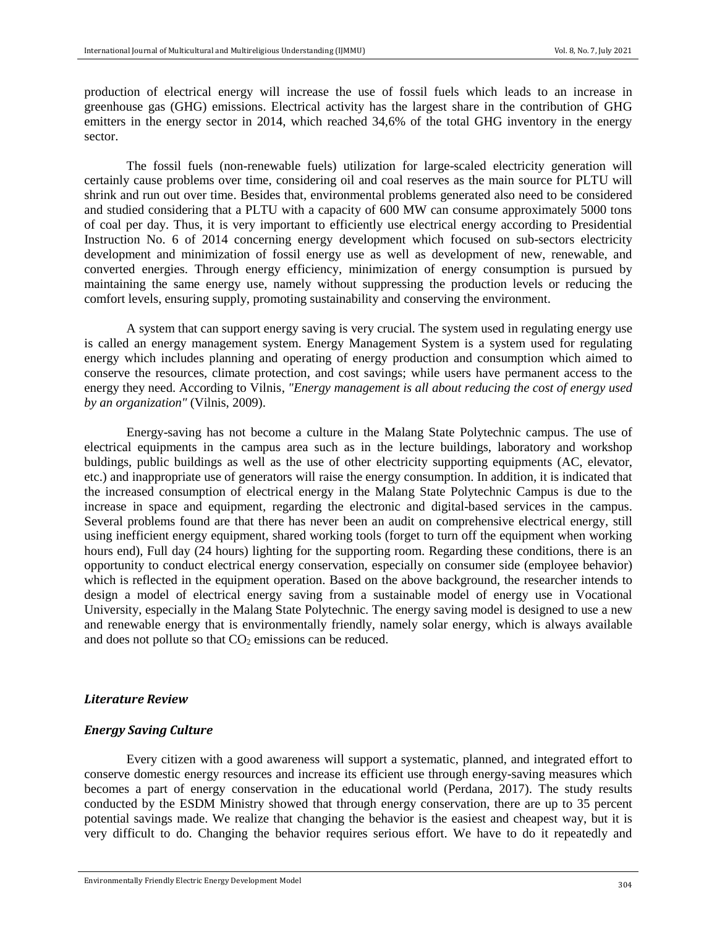production of electrical energy will increase the use of fossil fuels which leads to an increase in greenhouse gas (GHG) emissions. Electrical activity has the largest share in the contribution of GHG emitters in the energy sector in 2014, which reached 34,6% of the total GHG inventory in the energy sector.

The fossil fuels (non-renewable fuels) utilization for large-scaled electricity generation will certainly cause problems over time, considering oil and coal reserves as the main source for PLTU will shrink and run out over time. Besides that, environmental problems generated also need to be considered and studied considering that a PLTU with a capacity of 600 MW can consume approximately 5000 tons of coal per day. Thus, it is very important to efficiently use electrical energy according to Presidential Instruction No. 6 of 2014 concerning energy development which focused on sub-sectors electricity development and minimization of fossil energy use as well as development of new, renewable, and converted energies. Through energy efficiency, minimization of energy consumption is pursued by maintaining the same energy use, namely without suppressing the production levels or reducing the comfort levels, ensuring supply, promoting sustainability and conserving the environment.

A system that can support energy saving is very crucial. The system used in regulating energy use is called an energy management system. Energy Management System is a system used for regulating energy which includes planning and operating of energy production and consumption which aimed to conserve the resources, climate protection, and cost savings; while users have permanent access to the energy they need. According to Vilnis, *"Energy management is all about reducing the cost of energy used by an organization"* (Vilnis, 2009).

Energy-saving has not become a culture in the Malang State Polytechnic campus. The use of electrical equipments in the campus area such as in the lecture buildings, laboratory and workshop buldings, public buildings as well as the use of other electricity supporting equipments (AC, elevator, etc.) and inappropriate use of generators will raise the energy consumption. In addition, it is indicated that the increased consumption of electrical energy in the Malang State Polytechnic Campus is due to the increase in space and equipment, regarding the electronic and digital-based services in the campus. Several problems found are that there has never been an audit on comprehensive electrical energy, still using inefficient energy equipment, shared working tools (forget to turn off the equipment when working hours end), Full day (24 hours) lighting for the supporting room. Regarding these conditions, there is an opportunity to conduct electrical energy conservation, especially on consumer side (employee behavior) which is reflected in the equipment operation. Based on the above background, the researcher intends to design a model of electrical energy saving from a sustainable model of energy use in Vocational University, especially in the Malang State Polytechnic. The energy saving model is designed to use a new and renewable energy that is environmentally friendly, namely solar energy, which is always available and does not pollute so that  $CO<sub>2</sub>$  emissions can be reduced.

#### *Literature Review*

## *Energy Saving Culture*

Every citizen with a good awareness will support a systematic, planned, and integrated effort to conserve domestic energy resources and increase its efficient use through energy-saving measures which becomes a part of energy conservation in the educational world (Perdana, 2017). The study results conducted by the ESDM Ministry showed that through energy conservation, there are up to 35 percent potential savings made. We realize that changing the behavior is the easiest and cheapest way, but it is very difficult to do. Changing the behavior requires serious effort. We have to do it repeatedly and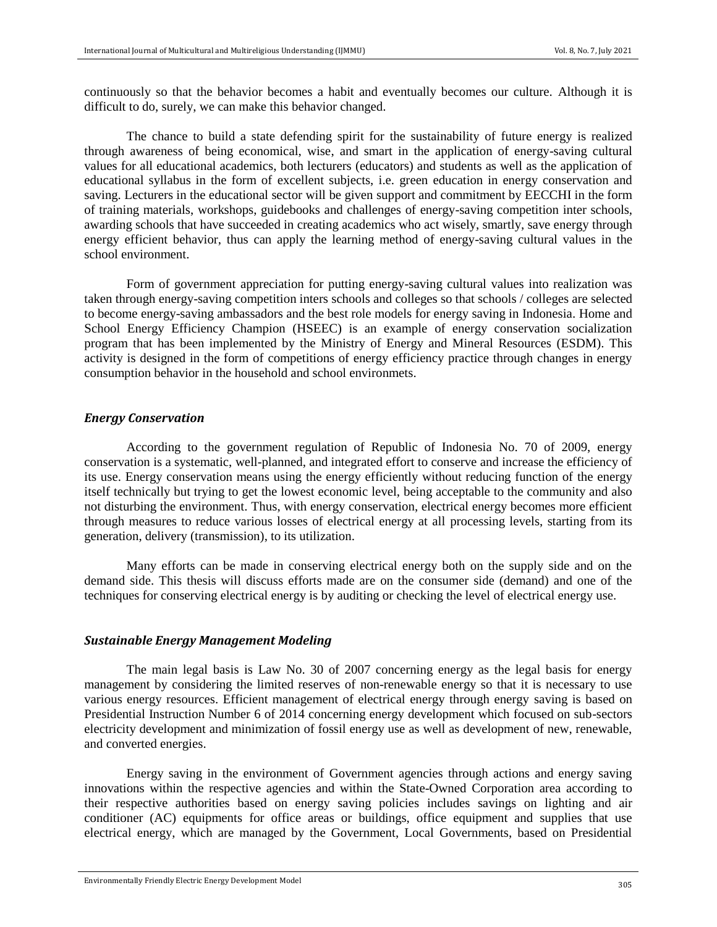continuously so that the behavior becomes a habit and eventually becomes our culture. Although it is difficult to do, surely, we can make this behavior changed.

The chance to build a state defending spirit for the sustainability of future energy is realized through awareness of being economical, wise, and smart in the application of energy-saving cultural values for all educational academics, both lecturers (educators) and students as well as the application of educational syllabus in the form of excellent subjects, i.e. green education in energy conservation and saving. Lecturers in the educational sector will be given support and commitment by EECCHI in the form of training materials, workshops, guidebooks and challenges of energy-saving competition inter schools, awarding schools that have succeeded in creating academics who act wisely, smartly, save energy through energy efficient behavior, thus can apply the learning method of energy-saving cultural values in the school environment.

Form of government appreciation for putting energy-saving cultural values into realization was taken through energy-saving competition inters schools and colleges so that schools / colleges are selected to become energy-saving ambassadors and the best role models for energy saving in Indonesia. Home and School Energy Efficiency Champion (HSEEC) is an example of energy conservation socialization program that has been implemented by the Ministry of Energy and Mineral Resources (ESDM). This activity is designed in the form of competitions of energy efficiency practice through changes in energy consumption behavior in the household and school environmets.

#### *Energy Conservation*

According to the government regulation of Republic of Indonesia No. 70 of 2009, energy conservation is a systematic, well-planned, and integrated effort to conserve and increase the efficiency of its use. Energy conservation means using the energy efficiently without reducing function of the energy itself technically but trying to get the lowest economic level, being acceptable to the community and also not disturbing the environment. Thus, with energy conservation, electrical energy becomes more efficient through measures to reduce various losses of electrical energy at all processing levels, starting from its generation, delivery (transmission), to its utilization.

Many efforts can be made in conserving electrical energy both on the supply side and on the demand side. This thesis will discuss efforts made are on the consumer side (demand) and one of the techniques for conserving electrical energy is by auditing or checking the level of electrical energy use.

## *Sustainable Energy Management Modeling*

The main legal basis is Law No. 30 of 2007 concerning energy as the legal basis for energy management by considering the limited reserves of non-renewable energy so that it is necessary to use various energy resources. Efficient management of electrical energy through energy saving is based on Presidential Instruction Number 6 of 2014 concerning energy development which focused on sub-sectors electricity development and minimization of fossil energy use as well as development of new, renewable, and converted energies.

Energy saving in the environment of Government agencies through actions and energy saving innovations within the respective agencies and within the State-Owned Corporation area according to their respective authorities based on energy saving policies includes savings on lighting and air conditioner (AC) equipments for office areas or buildings, office equipment and supplies that use electrical energy, which are managed by the Government, Local Governments, based on Presidential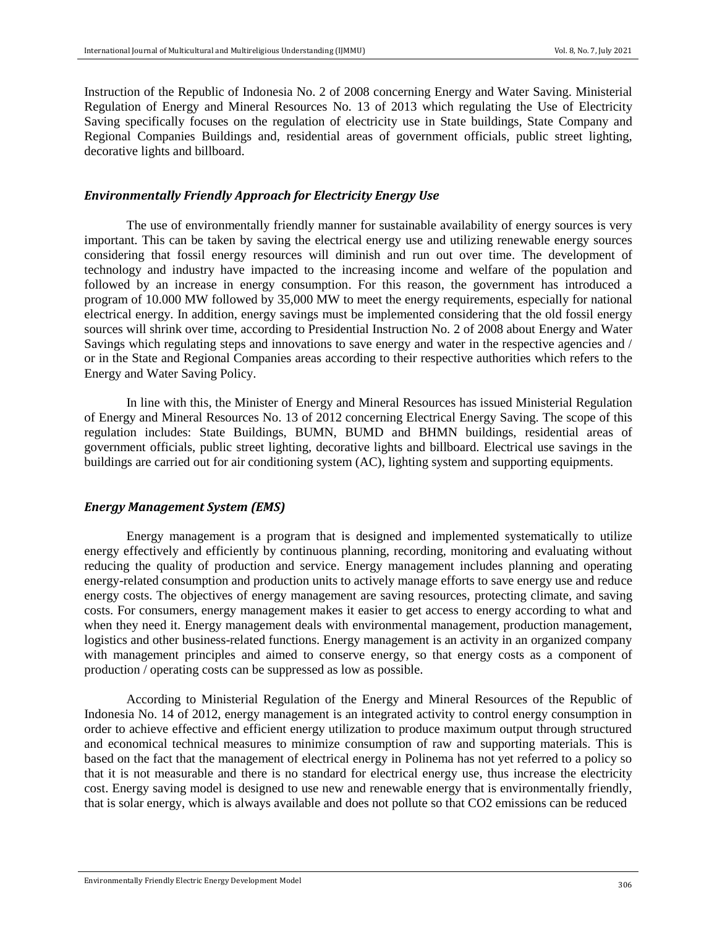Instruction of the Republic of Indonesia No. 2 of 2008 concerning Energy and Water Saving. Ministerial Regulation of Energy and Mineral Resources No. 13 of 2013 which regulating the Use of Electricity Saving specifically focuses on the regulation of electricity use in State buildings, State Company and Regional Companies Buildings and, residential areas of government officials, public street lighting, decorative lights and billboard.

## *Environmentally Friendly Approach for Electricity Energy Use*

The use of environmentally friendly manner for sustainable availability of energy sources is very important. This can be taken by saving the electrical energy use and utilizing renewable energy sources considering that fossil energy resources will diminish and run out over time. The development of technology and industry have impacted to the increasing income and welfare of the population and followed by an increase in energy consumption. For this reason, the government has introduced a program of 10.000 MW followed by 35,000 MW to meet the energy requirements, especially for national electrical energy. In addition, energy savings must be implemented considering that the old fossil energy sources will shrink over time, according to Presidential Instruction No. 2 of 2008 about Energy and Water Savings which regulating steps and innovations to save energy and water in the respective agencies and / or in the State and Regional Companies areas according to their respective authorities which refers to the Energy and Water Saving Policy.

In line with this, the Minister of Energy and Mineral Resources has issued Ministerial Regulation of Energy and Mineral Resources No. 13 of 2012 concerning Electrical Energy Saving. The scope of this regulation includes: State Buildings, BUMN, BUMD and BHMN buildings, residential areas of government officials, public street lighting, decorative lights and billboard. Electrical use savings in the buildings are carried out for air conditioning system (AC), lighting system and supporting equipments.

#### *Energy Management System (EMS)*

Energy management is a program that is designed and implemented systematically to utilize energy effectively and efficiently by continuous planning, recording, monitoring and evaluating without reducing the quality of production and service. Energy management includes planning and operating energy-related consumption and production units to actively manage efforts to save energy use and reduce energy costs. The objectives of energy management are saving resources, protecting climate, and saving costs. For consumers, energy management makes it easier to get access to energy according to what and when they need it. Energy management deals with environmental management, production management, logistics and other business-related functions. Energy management is an activity in an organized company with management principles and aimed to conserve energy, so that energy costs as a component of production / operating costs can be suppressed as low as possible.

According to Ministerial Regulation of the Energy and Mineral Resources of the Republic of Indonesia No. 14 of 2012, energy management is an integrated activity to control energy consumption in order to achieve effective and efficient energy utilization to produce maximum output through structured and economical technical measures to minimize consumption of raw and supporting materials. This is based on the fact that the management of electrical energy in Polinema has not yet referred to a policy so that it is not measurable and there is no standard for electrical energy use, thus increase the electricity cost. Energy saving model is designed to use new and renewable energy that is environmentally friendly, that is solar energy, which is always available and does not pollute so that CO2 emissions can be reduced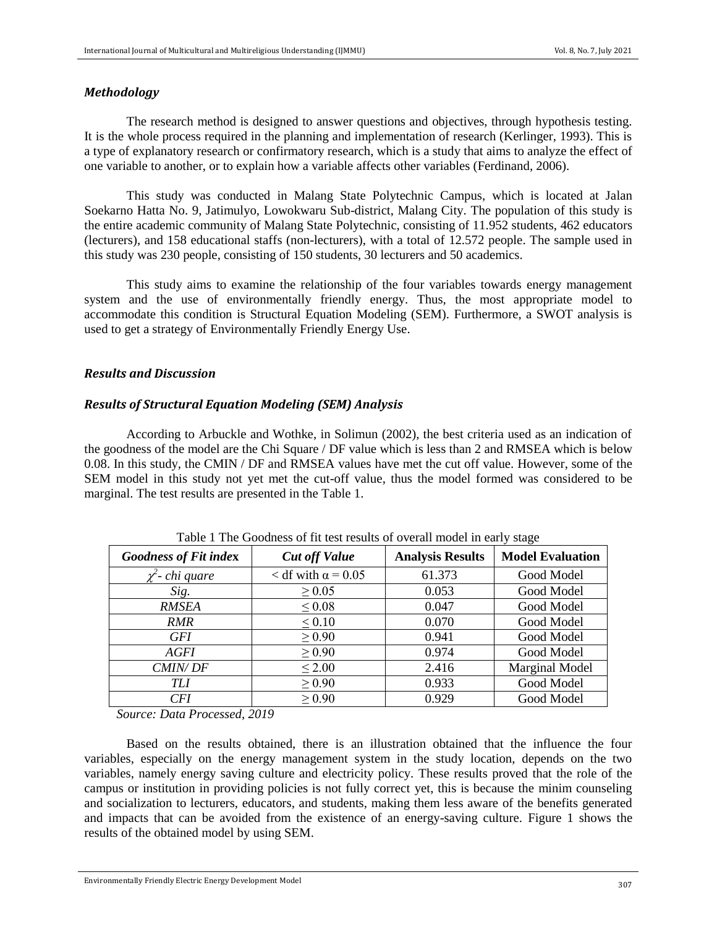## *Methodology*

The research method is designed to answer questions and objectives, through hypothesis testing. It is the whole process required in the planning and implementation of research (Kerlinger, 1993). This is a type of explanatory research or confirmatory research, which is a study that aims to analyze the effect of one variable to another, or to explain how a variable affects other variables (Ferdinand, 2006).

This study was conducted in Malang State Polytechnic Campus, which is located at Jalan Soekarno Hatta No. 9, Jatimulyo, Lowokwaru Sub-district, Malang City. The population of this study is the entire academic community of Malang State Polytechnic, consisting of 11.952 students, 462 educators (lecturers), and 158 educational staffs (non-lecturers), with a total of 12.572 people. The sample used in this study was 230 people, consisting of 150 students, 30 lecturers and 50 academics.

This study aims to examine the relationship of the four variables towards energy management system and the use of environmentally friendly energy. Thus, the most appropriate model to accommodate this condition is Structural Equation Modeling (SEM). Furthermore, a SWOT analysis is used to get a strategy of Environmentally Friendly Energy Use.

# *Results and Discussion*

### *Results of Structural Equation Modeling (SEM) Analysis*

According to Arbuckle and Wothke, in Solimun (2002), the best criteria used as an indication of the goodness of the model are the Chi Square / DF value which is less than 2 and RMSEA which is below 0.08. In this study, the CMIN / DF and RMSEA values have met the cut off value. However, some of the SEM model in this study not yet met the cut-off value, thus the model formed was considered to be marginal. The test results are presented in the Table 1.

| <b>Goodness of Fit index</b> | <b>Cut off Value</b>        | <b>Analysis Results</b> | <b>Model Evaluation</b> |  |
|------------------------------|-----------------------------|-------------------------|-------------------------|--|
| $\chi^2$ - chi quare         | $<$ df with $\alpha$ = 0.05 | 61.373                  | Good Model              |  |
| Sig.                         | $\geq 0.05$                 | 0.053                   | Good Model              |  |
| <b>RMSEA</b>                 | $\leq 0.08$                 | 0.047                   | Good Model              |  |
| <i>RMR</i>                   | < 0.10                      | 0.070                   | Good Model              |  |
| <b>GFI</b>                   | $\geq 0.90$                 | 0.941                   | Good Model              |  |
| AGFI                         | $\geq 0.90$                 | 0.974                   | Good Model              |  |
| <b>CMIN/DF</b>               | $\leq 2.00$                 | 2.416                   | Marginal Model          |  |
| TLI                          | $\geq 0.90$                 | 0.933                   | Good Model              |  |
| <b>CFI</b>                   | $\geq 0.90$                 | 0.929                   | Good Model              |  |

Table 1 The Goodness of fit test results of overall model in early stage

 *Source: Data Processed, 2019*

Based on the results obtained, there is an illustration obtained that the influence the four variables, especially on the energy management system in the study location, depends on the two variables, namely energy saving culture and electricity policy. These results proved that the role of the campus or institution in providing policies is not fully correct yet, this is because the minim counseling and socialization to lecturers, educators, and students, making them less aware of the benefits generated and impacts that can be avoided from the existence of an energy-saving culture. Figure 1 shows the results of the obtained model by using SEM.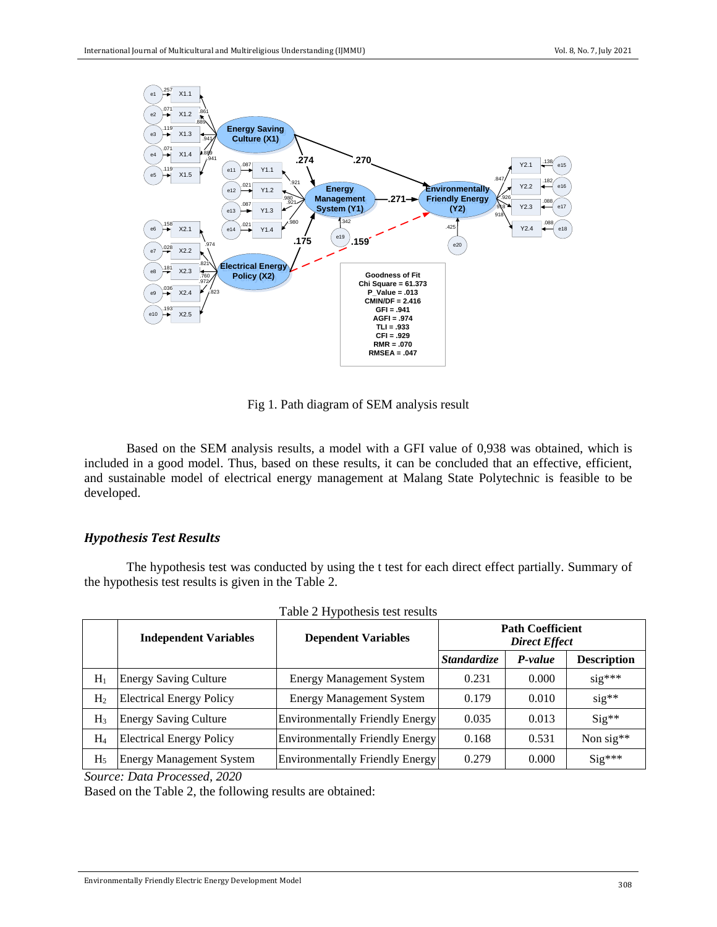

Fig 1. Path diagram of SEM analysis result

Based on the SEM analysis results, a model with a GFI value of 0,938 was obtained, which is included in a good model. Thus, based on these results, it can be concluded that an effective, efficient, and sustainable model of electrical energy management at Malang State Polytechnic is feasible to be developed.

## *Hypothesis Test Results*

The hypothesis test was conducted by using the t test for each direct effect partially. Summary of the hypothesis test results is given in the Table 2.

|                | <b>Independent Variables</b>    | <b>Dependent Variables</b>             | <b>Path Coefficient</b><br><b>Direct Effect</b> |         |                    |
|----------------|---------------------------------|----------------------------------------|-------------------------------------------------|---------|--------------------|
|                |                                 |                                        | <i><b>Standardize</b></i>                       | P-value | <b>Description</b> |
| $H_1$          | <b>Energy Saving Culture</b>    | <b>Energy Management System</b>        | 0.231                                           | 0.000   | $sig***$           |
| H <sub>2</sub> | <b>Electrical Energy Policy</b> | <b>Energy Management System</b>        | 0.179                                           | 0.010   | $sig**$            |
| $H_3$          | <b>Energy Saving Culture</b>    | <b>Environmentally Friendly Energy</b> | 0.035                                           | 0.013   | $Sig**$            |
| $H_4$          | <b>Electrical Energy Policy</b> | <b>Environmentally Friendly Energy</b> | 0.168                                           | 0.531   | Non sig**          |
| H <sub>5</sub> | <b>Energy Management System</b> | <b>Environmentally Friendly Energy</b> | 0.279                                           | 0.000   | $Sig***$           |

|  |  |  | Table 2 Hypothesis test results |  |  |  |  |
|--|--|--|---------------------------------|--|--|--|--|
|--|--|--|---------------------------------|--|--|--|--|

*Source: Data Processed, 2020*

Based on the Table 2, the following results are obtained: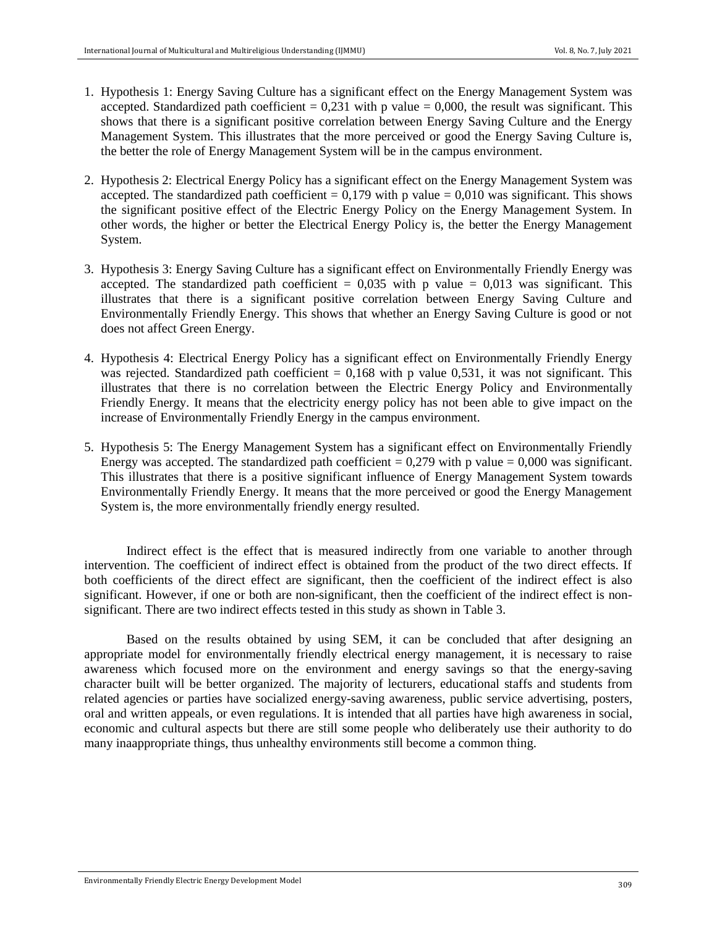- 1. Hypothesis 1: Energy Saving Culture has a significant effect on the Energy Management System was accepted. Standardized path coefficient  $= 0.231$  with p value  $= 0.000$ , the result was significant. This shows that there is a significant positive correlation between Energy Saving Culture and the Energy Management System. This illustrates that the more perceived or good the Energy Saving Culture is, the better the role of Energy Management System will be in the campus environment.
- 2. Hypothesis 2: Electrical Energy Policy has a significant effect on the Energy Management System was accepted. The standardized path coefficient =  $0.179$  with p value =  $0.010$  was significant. This shows the significant positive effect of the Electric Energy Policy on the Energy Management System. In other words, the higher or better the Electrical Energy Policy is, the better the Energy Management System.
- 3. Hypothesis 3: Energy Saving Culture has a significant effect on Environmentally Friendly Energy was accepted. The standardized path coefficient =  $0.035$  with p value =  $0.013$  was significant. This illustrates that there is a significant positive correlation between Energy Saving Culture and Environmentally Friendly Energy. This shows that whether an Energy Saving Culture is good or not does not affect Green Energy.
- 4. Hypothesis 4: Electrical Energy Policy has a significant effect on Environmentally Friendly Energy was rejected. Standardized path coefficient  $= 0.168$  with p value 0,531, it was not significant. This illustrates that there is no correlation between the Electric Energy Policy and Environmentally Friendly Energy. It means that the electricity energy policy has not been able to give impact on the increase of Environmentally Friendly Energy in the campus environment.
- 5. Hypothesis 5: The Energy Management System has a significant effect on Environmentally Friendly Energy was accepted. The standardized path coefficient =  $0,279$  with p value =  $0,000$  was significant. This illustrates that there is a positive significant influence of Energy Management System towards Environmentally Friendly Energy. It means that the more perceived or good the Energy Management System is, the more environmentally friendly energy resulted.

Indirect effect is the effect that is measured indirectly from one variable to another through intervention. The coefficient of indirect effect is obtained from the product of the two direct effects. If both coefficients of the direct effect are significant, then the coefficient of the indirect effect is also significant. However, if one or both are non-significant, then the coefficient of the indirect effect is nonsignificant. There are two indirect effects tested in this study as shown in Table 3.

Based on the results obtained by using SEM, it can be concluded that after designing an appropriate model for environmentally friendly electrical energy management, it is necessary to raise awareness which focused more on the environment and energy savings so that the energy-saving character built will be better organized. The majority of lecturers, educational staffs and students from related agencies or parties have socialized energy-saving awareness, public service advertising, posters, oral and written appeals, or even regulations. It is intended that all parties have high awareness in social, economic and cultural aspects but there are still some people who deliberately use their authority to do many inaappropriate things, thus unhealthy environments still become a common thing.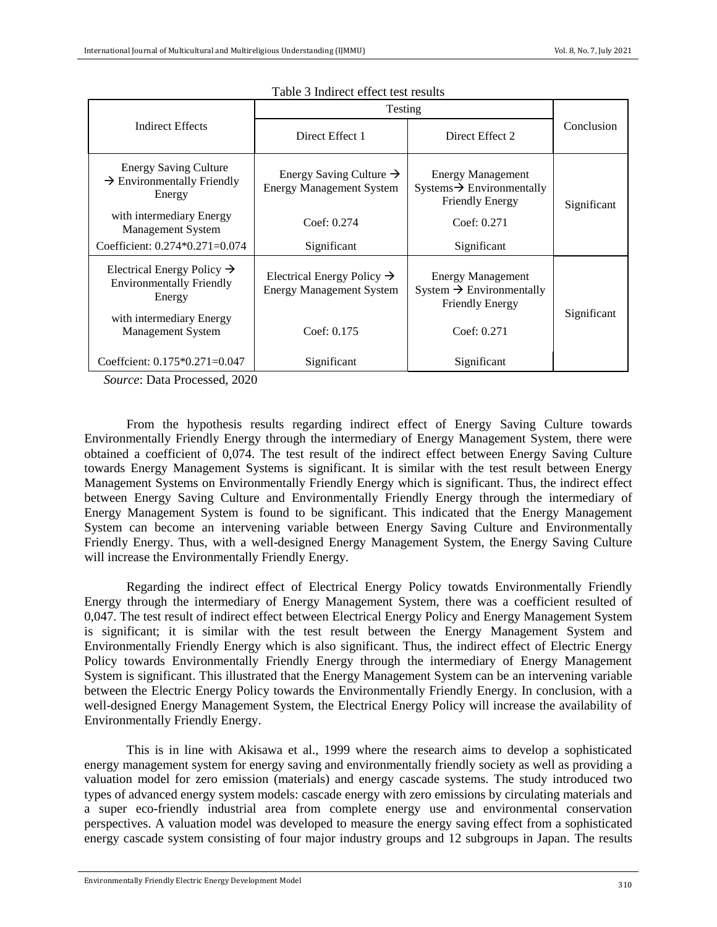|                                                                                     | Testing                                                                   |                                                                                             |             |  |
|-------------------------------------------------------------------------------------|---------------------------------------------------------------------------|---------------------------------------------------------------------------------------------|-------------|--|
| Indirect Effects                                                                    | Direct Effect 1                                                           | Direct Effect 2                                                                             | Conclusion  |  |
| <b>Energy Saving Culture</b><br>$\rightarrow$ Environmentally Friendly<br>Energy    | Energy Saving Culture $\rightarrow$<br><b>Energy Management System</b>    | <b>Energy Management</b><br>$Systems \rightarrow Environmentally$<br><b>Friendly Energy</b> | Significant |  |
| with intermediary Energy<br><b>Management System</b>                                | Coef: 0.274                                                               | Coef: 0.271                                                                                 |             |  |
| Coefficient: $0.274*0.271=0.074$                                                    | Significant                                                               | Significant                                                                                 |             |  |
| Electrical Energy Policy $\rightarrow$<br><b>Environmentally Friendly</b><br>Energy | Electrical Energy Policy $\rightarrow$<br><b>Energy Management System</b> | <b>Energy Management</b><br>System $\rightarrow$ Environmentally<br><b>Friendly Energy</b>  | Significant |  |
| with intermediary Energy<br><b>Management System</b>                                | Coef: $0.175$                                                             | Coef: 0.271                                                                                 |             |  |
| Coeffcient: $0.175*0.271=0.047$                                                     | Significant                                                               | Significant                                                                                 |             |  |

#### Table 3 Indirect effect test results

 *Source*: Data Processed, 2020

From the hypothesis results regarding indirect effect of Energy Saving Culture towards Environmentally Friendly Energy through the intermediary of Energy Management System, there were obtained a coefficient of 0,074. The test result of the indirect effect between Energy Saving Culture towards Energy Management Systems is significant. It is similar with the test result between Energy Management Systems on Environmentally Friendly Energy which is significant. Thus, the indirect effect between Energy Saving Culture and Environmentally Friendly Energy through the intermediary of Energy Management System is found to be significant. This indicated that the Energy Management System can become an intervening variable between Energy Saving Culture and Environmentally Friendly Energy. Thus, with a well-designed Energy Management System, the Energy Saving Culture will increase the Environmentally Friendly Energy.

Regarding the indirect effect of Electrical Energy Policy towatds Environmentally Friendly Energy through the intermediary of Energy Management System, there was a coefficient resulted of 0,047. The test result of indirect effect between Electrical Energy Policy and Energy Management System is significant; it is similar with the test result between the Energy Management System and Environmentally Friendly Energy which is also significant. Thus, the indirect effect of Electric Energy Policy towards Environmentally Friendly Energy through the intermediary of Energy Management System is significant. This illustrated that the Energy Management System can be an intervening variable between the Electric Energy Policy towards the Environmentally Friendly Energy. In conclusion, with a well-designed Energy Management System, the Electrical Energy Policy will increase the availability of Environmentally Friendly Energy.

This is in line with Akisawa et al., 1999 where the research aims to develop a sophisticated energy management system for energy saving and environmentally friendly society as well as providing a valuation model for zero emission (materials) and energy cascade systems. The study introduced two types of advanced energy system models: cascade energy with zero emissions by circulating materials and a super eco-friendly industrial area from complete energy use and environmental conservation perspectives. A valuation model was developed to measure the energy saving effect from a sophisticated energy cascade system consisting of four major industry groups and 12 subgroups in Japan. The results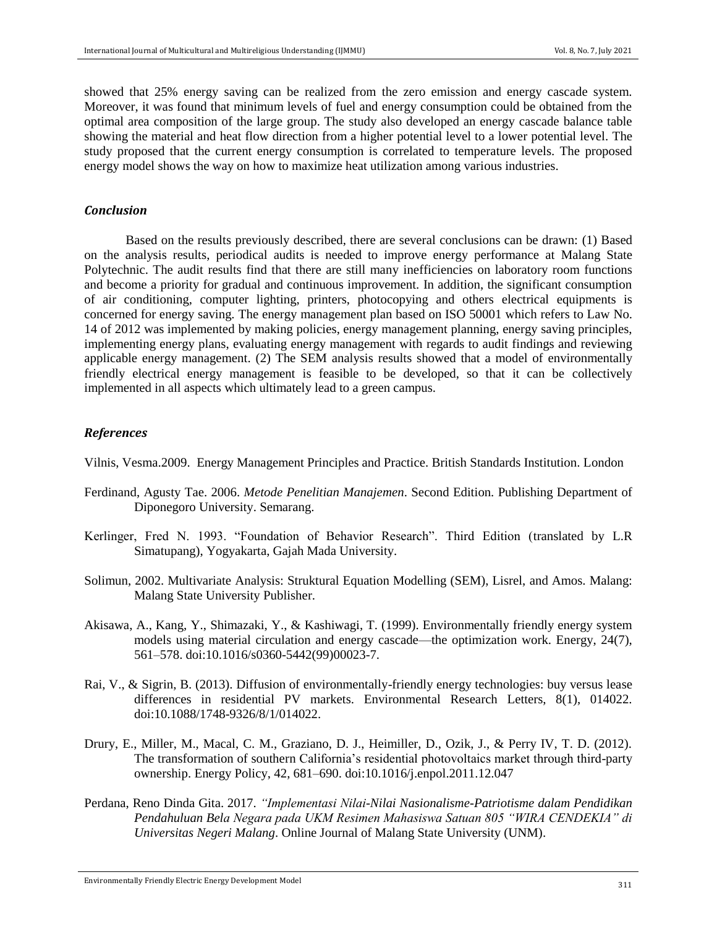showed that 25% energy saving can be realized from the zero emission and energy cascade system. Moreover, it was found that minimum levels of fuel and energy consumption could be obtained from the optimal area composition of the large group. The study also developed an energy cascade balance table showing the material and heat flow direction from a higher potential level to a lower potential level. The study proposed that the current energy consumption is correlated to temperature levels. The proposed energy model shows the way on how to maximize heat utilization among various industries.

#### *Conclusion*

Based on the results previously described, there are several conclusions can be drawn: (1) Based on the analysis results, periodical audits is needed to improve energy performance at Malang State Polytechnic. The audit results find that there are still many inefficiencies on laboratory room functions and become a priority for gradual and continuous improvement. In addition, the significant consumption of air conditioning, computer lighting, printers, photocopying and others electrical equipments is concerned for energy saving. The energy management plan based on ISO 50001 which refers to Law No. 14 of 2012 was implemented by making policies, energy management planning, energy saving principles, implementing energy plans, evaluating energy management with regards to audit findings and reviewing applicable energy management. (2) The SEM analysis results showed that a model of environmentally friendly electrical energy management is feasible to be developed, so that it can be collectively implemented in all aspects which ultimately lead to a green campus.

#### *References*

Vilnis, Vesma.2009. Energy Management Principles and Practice. British Standards Institution. London

- Ferdinand, Agusty Tae. 2006. *Metode Penelitian Manajemen*. Second Edition. Publishing Department of Diponegoro University. Semarang.
- Kerlinger, Fred N. 1993. "Foundation of Behavior Research". Third Edition (translated by L.R Simatupang), Yogyakarta, Gajah Mada University.
- Solimun, 2002. Multivariate Analysis: Struktural Equation Modelling (SEM), Lisrel, and Amos. Malang: Malang State University Publisher.
- Akisawa, A., Kang, Y., Shimazaki, Y., & Kashiwagi, T. (1999). Environmentally friendly energy system models using material circulation and energy cascade—the optimization work. Energy, 24(7), 561–578. doi:10.1016/s0360-5442(99)00023-7.
- Rai, V., & Sigrin, B. (2013). Diffusion of environmentally-friendly energy technologies: buy versus lease differences in residential PV markets. Environmental Research Letters, 8(1), 014022. doi:10.1088/1748-9326/8/1/014022.
- Drury, E., Miller, M., Macal, C. M., Graziano, D. J., Heimiller, D., Ozik, J., & Perry IV, T. D. (2012). The transformation of southern California's residential photovoltaics market through third-party ownership. Energy Policy, 42, 681–690. doi:10.1016/j.enpol.2011.12.047
- Perdana, Reno Dinda Gita. 2017. *"Implementasi Nilai-Nilai Nasionalisme-Patriotisme dalam Pendidikan Pendahuluan Bela Negara pada UKM Resimen Mahasiswa Satuan 805 "WIRA CENDEKIA" di Universitas Negeri Malang*. Online Journal of Malang State University (UNM).